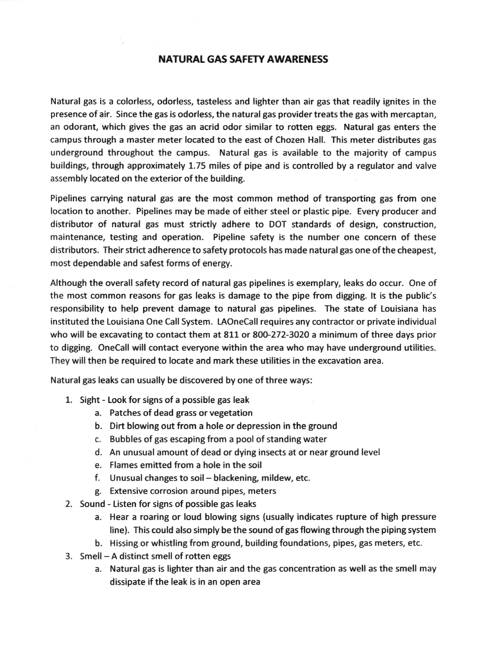### NATURAL GAS SAFETY AWARENESS

Natural gas is a colorless, odorless, tasteless and lighter than air gas that readily ignites in the presence of air. Since the gas is odorless, the natural gas provider treats the gas with mercaptan, an odorant, which gives the gas an acrid odor similar to rotten eggs. Natural gas enters the campus through a master meter located to the east of Chozen Hall. This meter distributes gas underground throughout the campus. Natural gas is available to the majority of campus buildings, through approximately 1.75 miles of pipe and is controlled by a regulator and valve assembly located on the exterior of the building.

Pipelines carrying natural gas are the most common method of transporting gas from one location to another. Pipelines may be made of either steel or plastic pipe. Every producer and distributor of natural gas must strictly adhere to DOT standards of design, construction, maintenance, testing and operation. Pipeline safety is the number one concern of these distributors. Their strict adherence to safety protocols has made naturalgas one ofthe cheapest, most dependable and safest forms of energy.

Although the overall safety record of natural gas pipelines is exemplary, leaks do occur. One of the most common reasons for gas leaks is damage to the pipe from digging. lt is the public's responsibility to help prevent damage to natural gas pipelines. The state of Louisiana has instituted the Louisiana One Call System. IAOneCall requires any contractor or private individual who will be excavating to contact them at 811 or 800-272-3020 a minimum of three days prior to digging. OneCall will contact everyone within the area who may have underground utilities. They will then be required to locate and mark these utilities in the excavation area.

Natural gas leaks can usually be discovered by one of three ways:

- 1. Sight Look for signs of a possible gas leak
	- a. Patches of dead grass or vegetation
	- b. Dirt blowing out from a hole or depression in the ground
	- c. Bubbles of gas escaping from a pool of standing water
	- d. An unusual amount of dead or dying insects at or near ground level
	- e. Flames emitted from a hole in the soil
	- f. Unusual changes to soil- blackening, mildew, etc.
	- g. Extensive corrosion around pipes, meters
- 2. Sound Listen for signs of possible gas leaks
	- a. Hear a roaring or loud blowing signs (usually indicates rupture of high pressure line). This could also simply be the sound of gas flowing through the piping system
	- b. Hissing or whistling from ground, building foundations, pipes. gas meters. etc.
- 3. Smell A distinct smell of rotten eggs
	- a. Natural gas is lighter than air and the gas concentration as well as the smell may dissipate if the leak is in an open area